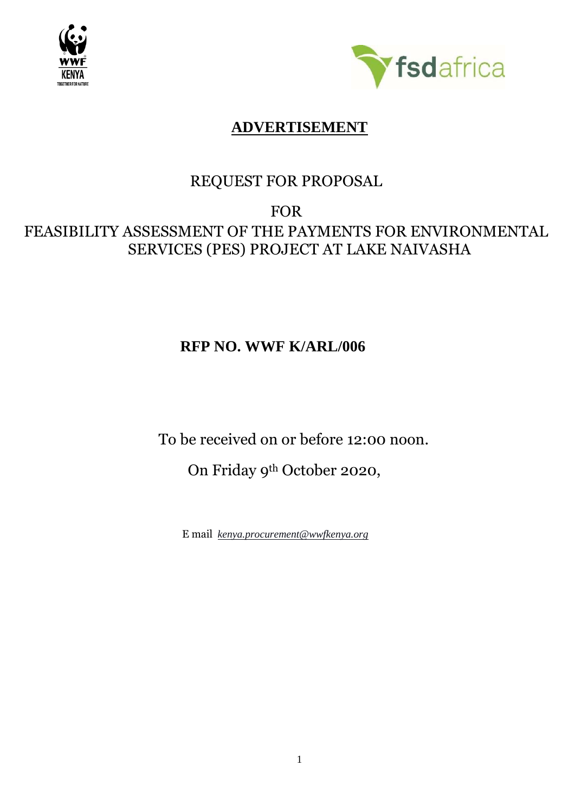



## **ADVERTISEMENT**

## REQUEST FOR PROPOSAL

# FOR FEASIBILITY ASSESSMENT OF THE PAYMENTS FOR ENVIRONMENTAL SERVICES (PES) PROJECT AT LAKE NAIVASHA

# **RFP NO. WWF K/ARL/006**

To be received on or before 12:00 noon.

On Friday 9th October 2020,

E mail *[kenya.procurement@wwfkenya.org](mailto:kenya.procurement@wwfkenya.org)*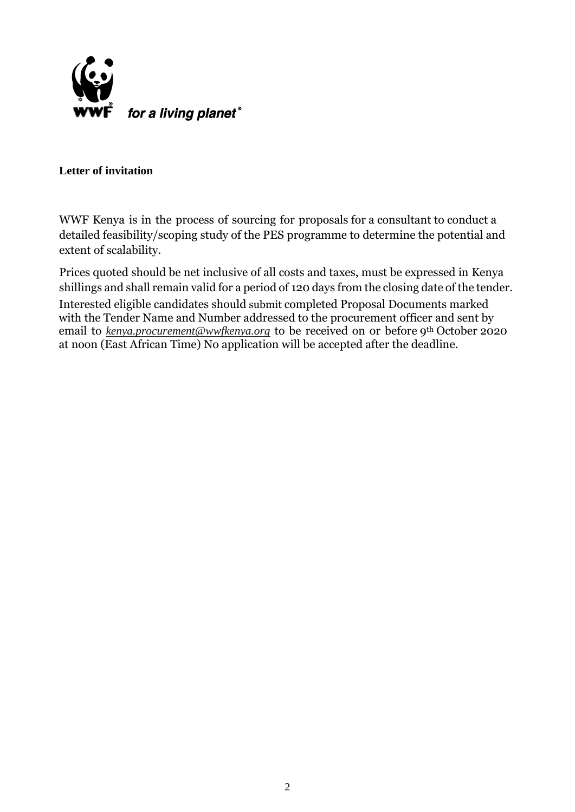

## **Letter of invitation**

WWF Kenya is in the process of sourcing for proposals for a consultant to conduct a detailed feasibility/scoping study of the PES programme to determine the potential and extent of scalability.

Prices quoted should be net inclusive of all costs and taxes, must be expressed in Kenya shillings and shall remain valid for a period of 120 days from the closing date of the tender.

Interested eligible candidates should submit completed Proposal Documents marked with the Tender Name and Number addressed to the procurement officer and sent by email to *[kenya.procurement@wwfkenya.org](mailto:kenya.procurement@wwfkenya.org)* to be received on or before 9<sup>th</sup> October 2020 at noon (East African Time) No application will be accepted after the deadline.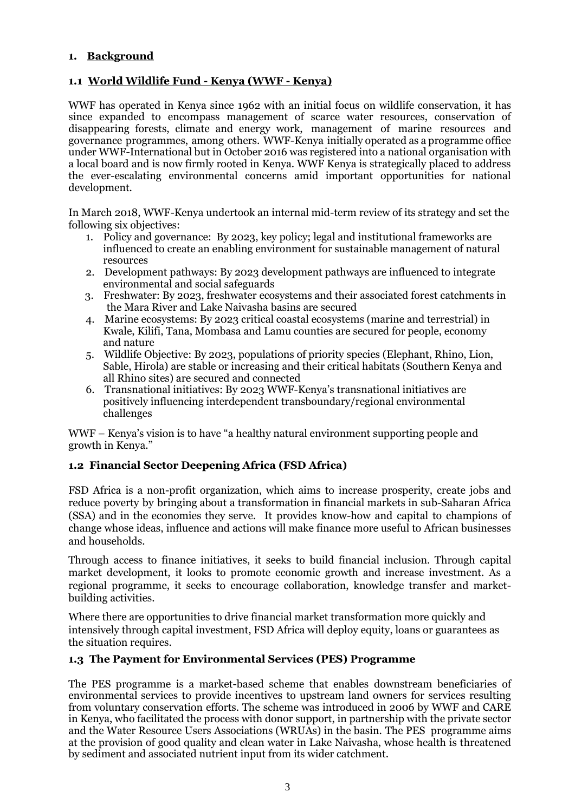## **1. Background**

#### **1.1 World Wildlife Fund - Kenya (WWF - Kenya)**

WWF has operated in Kenya since 1962 with an initial focus on wildlife conservation, it has since expanded to encompass management of scarce water resources, conservation of disappearing forests, climate and energy work, management of marine resources and governance programmes, among others. WWF-Kenya initially operated as a programme office under WWF-International but in October 2016 was registered into a national organisation with a local board and is now firmly rooted in Kenya. WWF Kenya is strategically placed to address the ever-escalating environmental concerns amid important opportunities for national development.

In March 2018, WWF-Kenya undertook an internal mid-term review of its strategy and set the following six objectives:

- 1. Policy and governance: By 2023, key policy; legal and institutional frameworks are influenced to create an enabling environment for sustainable management of natural resources
- 2. Development pathways: By 2023 development pathways are influenced to integrate environmental and social safeguards
- 3. Freshwater: By 2023, freshwater ecosystems and their associated forest catchments in the Mara River and Lake Naivasha basins are secured
- 4. Marine ecosystems: By 2023 critical coastal ecosystems (marine and terrestrial) in Kwale, Kilifi, Tana, Mombasa and Lamu counties are secured for people, economy and nature
- 5. Wildlife Objective: By 2023, populations of priority species (Elephant, Rhino, Lion, Sable, Hirola) are stable or increasing and their critical habitats (Southern Kenya and all Rhino sites) are secured and connected
- 6. Transnational initiatives: By 2023 WWF-Kenya's transnational initiatives are positively influencing interdependent transboundary/regional environmental challenges

WWF – Kenya's vision is to have "a healthy natural environment supporting people and growth in Kenya."

## **1.2 Financial Sector Deepening Africa (FSD Africa)**

FSD Africa is a non-profit organization, which aims to increase prosperity, create jobs and reduce poverty by bringing about a transformation in financial markets in sub-Saharan Africa (SSA) and in the economies they serve. It provides know-how and capital to champions of change whose ideas, influence and actions will make finance more useful to African businesses and households.

Through access to finance initiatives, it seeks to build financial inclusion. Through capital market development, it looks to promote economic growth and increase investment. As a regional programme, it seeks to encourage collaboration, knowledge transfer and marketbuilding activities.

Where there are opportunities to drive financial market transformation more quickly and intensively through capital investment, FSD Africa will deploy equity, loans or guarantees as the situation requires.

#### **1.3 The Payment for Environmental Services (PES) Programme**

The PES programme is a market-based scheme that enables downstream beneficiaries of environmental services to provide incentives to upstream land owners for services resulting from voluntary conservation efforts. The scheme was introduced in 2006 by WWF and CARE in Kenya, who facilitated the process with donor support, in partnership with the private sector and the Water Resource Users Associations (WRUAs) in the basin. The PES programme aims at the provision of good quality and clean water in Lake Naivasha, whose health is threatened by sediment and associated nutrient input from its wider catchment.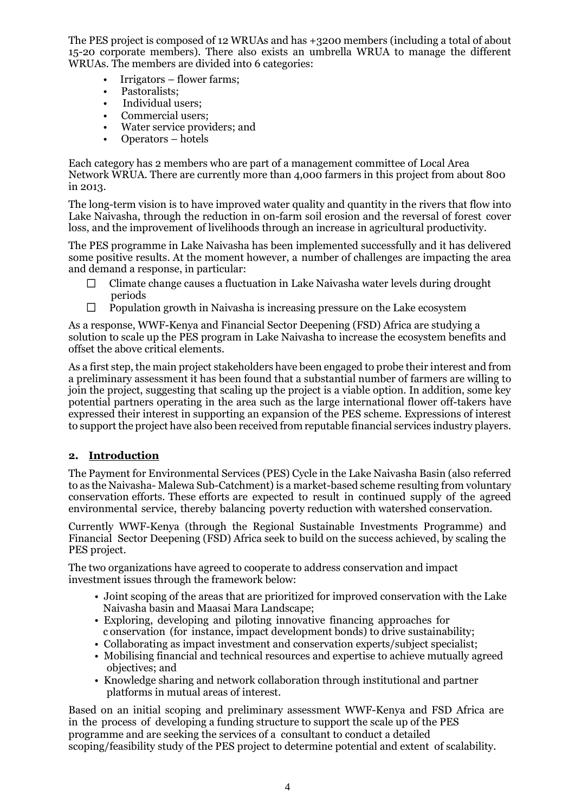The PES project is composed of 12 WRUAs and has +3200 members (including a total of about 15-20 corporate members). There also exists an umbrella WRUA to manage the different WRUAs. The members are divided into 6 categories:

- Irrigators flower farms;
- Pastoralists;
- Individual users;
- Commercial users;
- Water service providers; and
- Operators hotels

Each category has 2 members who are part of a management committee of Local Area Network WRUA. There are currently more than 4,000 farmers in this project from about 800 in 2013.

The long-term vision is to have improved water quality and quantity in the rivers that flow into Lake Naivasha, through the reduction in on-farm soil erosion and the reversal of forest cover loss, and the improvement of livelihoods through an increase in agricultural productivity.

The PES programme in Lake Naivasha has been implemented successfully and it has delivered some positive results. At the moment however, a number of challenges are impacting the area and demand a response, in particular:

- $\Box$ Climate change causes a fluctuation in Lake Naivasha water levels during drought periods
- $\Box$ Population growth in Naivasha is increasing pressure on the Lake ecosystem

As a response, WWF-Kenya and Financial Sector Deepening (FSD) Africa are studying a solution to scale up the PES program in Lake Naivasha to increase the ecosystem benefits and offset the above critical elements.

As a first step, the main project stakeholders have been engaged to probe their interest and from a preliminary assessment it has been found that a substantial number of farmers are willing to join the project, suggesting that scaling up the project is a viable option. In addition, some key potential partners operating in the area such as the large international flower off-takers have expressed their interest in supporting an expansion of the PES scheme. Expressions of interest to support the project have also been received from reputable financial services industry players.

#### **2. Introduction**

The Payment for Environmental Services (PES) Cycle in the Lake Naivasha Basin (also referred to as the Naivasha- Malewa Sub-Catchment) is a market-based scheme resulting from voluntary conservation efforts. These efforts are expected to result in continued supply of the agreed environmental service, thereby balancing poverty reduction with watershed conservation.

Currently WWF-Kenya (through the Regional Sustainable Investments Programme) and Financial Sector Deepening (FSD) Africa seek to build on the success achieved, by scaling the PES project.

The two organizations have agreed to cooperate to address conservation and impact investment issues through the framework below:

- Joint scoping of the areas that are prioritized for improved conservation with the Lake Naivasha basin and Maasai Mara Landscape;
- Exploring, developing and piloting innovative financing approaches for c onservation (for instance, impact development bonds) to drive sustainability;
- Collaborating as impact investment and conservation experts/subject specialist;
- Mobilising financial and technical resources and expertise to achieve mutually agreed objectives; and
- Knowledge sharing and network collaboration through institutional and partner platforms in mutual areas of interest.

Based on an initial scoping and preliminary assessment WWF-Kenya and FSD Africa are in the process of developing a funding structure to support the scale up of the PES programme and are seeking the services of a consultant to conduct a detailed scoping/feasibility study of the PES project to determine potential and extent of scalability.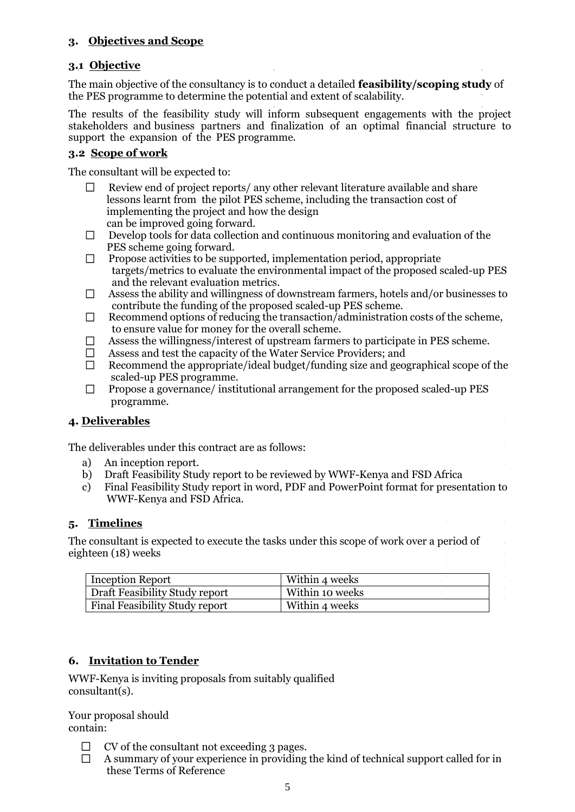## **3. Objectives and Scope**

## **3.1 Objective**

The main objective of the consultancy is to conduct a detailed **feasibility/scoping study** of the PES programme to determine the potential and extent of scalability.

The results of the feasibility study will inform subsequent engagements with the project stakeholders and business partners and finalization of an optimal financial structure to support the expansion of the PES programme.

#### **3.2 Scope of work**

The consultant will be expected to:

- Review end of project reports/ any other relevant literature available and share lessons learnt from the pilot PES scheme, including the transaction cost of implementing the project and how the design can be improved going forward.
- $\Box$  Develop tools for data collection and continuous monitoring and evaluation of the PES scheme going forward.
- $\Box$  Propose activities to be supported, implementation period, appropriate targets/metrics to evaluate the environmental impact of the proposed scaled-up PES and the relevant evaluation metrics.
- $\Box$ Assess the ability and willingness of downstream farmers, hotels and/or businesses to contribute the funding of the proposed scaled-up PES scheme.
- Recommend options of reducing the transaction/administration costs of the scheme,  $\Box$ to ensure value for money for the overall scheme.
- $\Box$ Assess the willingness/interest of upstream farmers to participate in PES scheme.
- Assess and test the capacity of the Water Service Providers; and  $\Box$
- $\Box$ Recommend the appropriate/ideal budget/funding size and geographical scope of the scaled-up PES programme.
- $\Box$ Propose a governance/ institutional arrangement for the proposed scaled-up PES programme.

## **4. Deliverables**

The deliverables under this contract are as follows:

- a) An inception report.
	- b) Draft Feasibility Study report to be reviewed by WWF-Kenya and FSD Africa
	- c) Final Feasibility Study report in word, PDF and PowerPoint format for presentation to WWF-Kenya and FSD Africa.

## **5. Timelines**

The consultant is expected to execute the tasks under this scope of work over a period of eighteen (18) weeks

| <b>Inception Report</b>        | Within 4 weeks  |
|--------------------------------|-----------------|
| Draft Feasibility Study report | Within 10 weeks |
| Final Feasibility Study report | Within 4 weeks  |

## **6. Invitation to Tender**

WWF-Kenya is inviting proposals from suitably qualified consultant(s).

Your proposal should contain:

- $\Box$ CV of the consultant not exceeding 3 pages.
- A summary of your experience in providing the kind of technical support called for in  $\Box$ these Terms of Reference